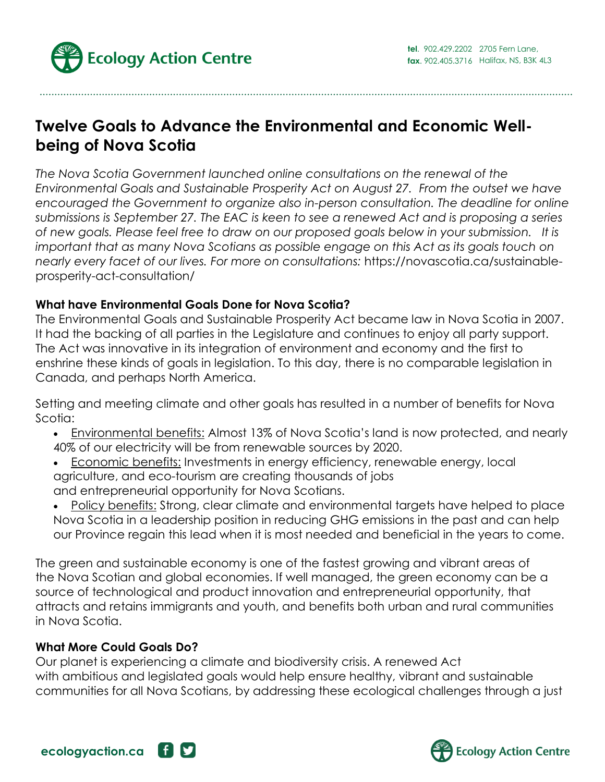

# **Twelve Goals to Advance the Environmental and Economic Wellbeing of Nova Scotia**

*The Nova Scotia Government launched online consultations on the renewal of the Environmental Goals and Sustainable Prosperity Act on August 27. From the outset we have encouraged the Government to organize also in-person consultation. The deadline for online submissions is September 27. The EAC is keen to see a renewed Act and is proposing a series of new goals. Please feel free to draw on our proposed goals below in your submission. It is important that as many Nova Scotians as possible engage on this Act as its goals touch on nearly every facet of our lives. For more on consultations:* https://novascotia.ca/sustainableprosperity-act-consultation/

#### **What have Environmental Goals Done for Nova Scotia?**

The Environmental Goals and Sustainable Prosperity Act became law in Nova Scotia in 2007. It had the backing of all parties in the Legislature and continues to enjoy all party support. The Act was innovative in its integration of environment and economy and the first to enshrine these kinds of goals in legislation. To this day, there is no comparable legislation in Canada, and perhaps North America.

Setting and meeting climate and other goals has resulted in a number of benefits for Nova Scotia:

- Environmental benefits: Almost 13% of Nova Scotia's land is now protected, and nearly 40% of our electricity will be from renewable sources by 2020.
- Economic benefits: Investments in energy efficiency, renewable energy, local agriculture, and eco-tourism are creating thousands of jobs and entrepreneurial opportunity for Nova Scotians.
- Policy benefits: Strong, clear climate and environmental targets have helped to place Nova Scotia in a leadership position in reducing GHG emissions in the past and can help our Province regain this lead when it is most needed and beneficial in the years to come.

The green and sustainable economy is one of the fastest growing and vibrant areas of the Nova Scotian and global economies. If well managed, the green economy can be a source of technological and product innovation and entrepreneurial opportunity, that attracts and retains immigrants and youth, and benefits both urban and rural communities in Nova Scotia.

#### **What More Could Goals Do?**

Our planet is experiencing a climate and biodiversity crisis. A renewed Act with ambitious and legislated goals would help ensure healthy, vibrant and sustainable communities for all Nova Scotians, by addressing these ecological challenges through a just



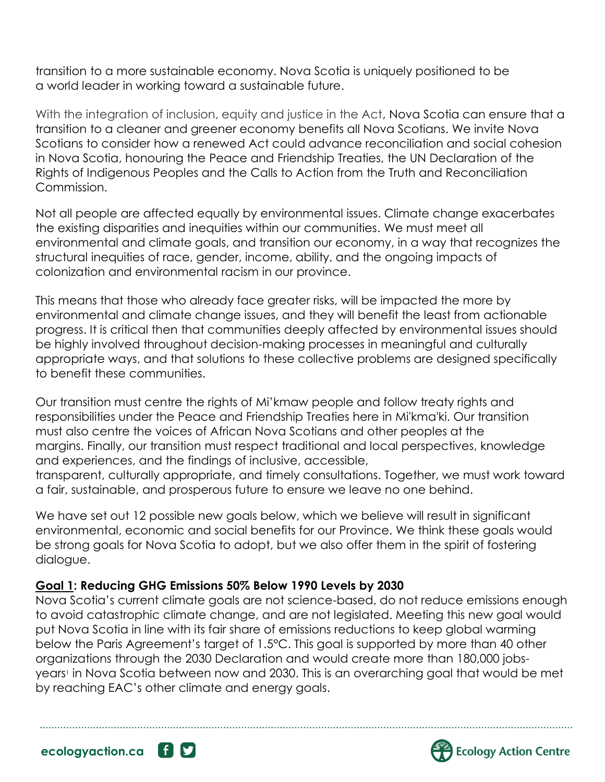transition to a more sustainable economy. Nova Scotia is uniquely positioned to be a world leader in working toward a sustainable future.

With the integration of inclusion, equity and justice in the Act, Nova Scotia can ensure that a transition to a cleaner and greener economy benefits all Nova Scotians. We invite Nova Scotians to consider how a renewed Act could advance reconciliation and social cohesion in Nova Scotia, honouring the Peace and Friendship Treaties, the UN Declaration of the Rights of Indigenous Peoples and the Calls to Action from the Truth and Reconciliation Commission.

Not all people are affected equally by environmental issues. Climate change exacerbates the existing disparities and inequities within our communities. We must meet all environmental and climate goals, and transition our economy, in a way that recognizes the structural inequities of race, gender, income, ability, and the ongoing impacts of colonization and environmental racism in our province.

This means that those who already face greater risks, will be impacted the more by environmental and climate change issues, and they will benefit the least from actionable progress. It is critical then that communities deeply affected by environmental issues should be highly involved throughout decision-making processes in meaningful and culturally appropriate ways, and that solutions to these collective problems are designed specifically to benefit these communities.

Our transition must centre the rights of Mi'kmaw people and follow treaty rights and responsibilities under the Peace and Friendship Treaties here in Mi'kma'ki. Our transition must also centre the voices of African Nova Scotians and other peoples at the margins. Finally, our transition must respect traditional and local perspectives, knowledge and experiences, and the findings of inclusive, accessible,

transparent, culturally appropriate, and timely consultations. Together, we must work toward a fair, sustainable, and prosperous future to ensure we leave no one behind.

We have set out 12 possible new goals below, which we believe will result in significant environmental, economic and social benefits for our Province. We think these goals would be strong goals for Nova Scotia to adopt, but we also offer them in the spirit of fostering dialogue.

## **Goal 1: Reducing GHG Emissions 50% Below 1990 Levels by 2030**

Nova Scotia's current climate goals are not science-based, do not reduce emissions enough to avoid catastrophic climate change, and are not legislated. Meeting this new goal would put Nova Scotia in line with its fair share of emissions reductions to keep global warming below the Paris Agreement's target of 1.5°C. This goal is supported by more than 40 other organizations through the 2030 Declaration and would create more than 180,000 jobsyears<sup>1</sup> in Nova Scotia between now and 2030. This is an overarching goal that would be met by reaching EAC's other climate and energy goals.





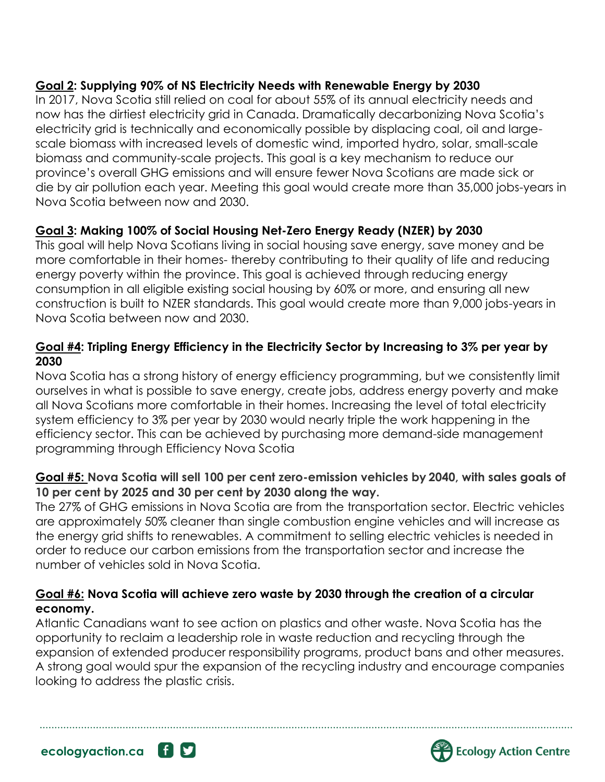## **Goal 2: Supplying 90% of NS Electricity Needs with Renewable Energy by 2030**

In 2017, Nova Scotia still relied on coal for about 55% of its annual electricity needs and now has the dirtiest electricity grid in Canada. Dramatically decarbonizing Nova Scotia's electricity grid is technically and economically possible by displacing coal, oil and largescale biomass with increased levels of domestic wind, imported hydro, solar, small-scale biomass and community-scale projects. This goal is a key mechanism to reduce our province's overall GHG emissions and will ensure fewer Nova Scotians are made sick or die by air pollution each year. Meeting this goal would create more than 35,000 jobs-years in Nova Scotia between now and 2030.

## **Goal 3: Making 100% of Social Housing Net-Zero Energy Ready (NZER) by 2030**

This goal will help Nova Scotians living in social housing save energy, save money and be more comfortable in their homes- thereby contributing to their quality of life and reducing energy poverty within the province. This goal is achieved through reducing energy consumption in all eligible existing social housing by 60% or more, and ensuring all new construction is built to NZER standards. This goal would create more than 9,000 jobs-years in Nova Scotia between now and 2030.

## **Goal #4: Tripling Energy Efficiency in the Electricity Sector by Increasing to 3% per year by 2030**

Nova Scotia has a strong history of energy efficiency programming, but we consistently limit ourselves in what is possible to save energy, create jobs, address energy poverty and make all Nova Scotians more comfortable in their homes. Increasing the level of total electricity system efficiency to 3% per year by 2030 would nearly triple the work happening in the efficiency sector. This can be achieved by purchasing more demand-side management programming through Efficiency Nova Scotia

## **Goal #5: Nova Scotia will sell 100 per cent zero-emission vehicles by 2040, with sales goals of 10 per cent by 2025 and 30 per cent by 2030 along the way.**

The 27% of GHG emissions in Nova Scotia are from the transportation sector. Electric vehicles are approximately 50% cleaner than single combustion engine vehicles and will increase as the energy grid shifts to renewables. A commitment to selling electric vehicles is needed in order to reduce our carbon emissions from the transportation sector and increase the number of vehicles sold in Nova Scotia.

## **Goal #6: Nova Scotia will achieve zero waste by 2030 through the creation of a circular economy.**

Atlantic Canadians want to see action on plastics and other waste. Nova Scotia has the opportunity to reclaim a leadership role in waste reduction and recycling through the expansion of extended producer responsibility programs, product bans and other measures. A strong goal would spur the expansion of the recycling industry and encourage companies looking to address the plastic crisis.



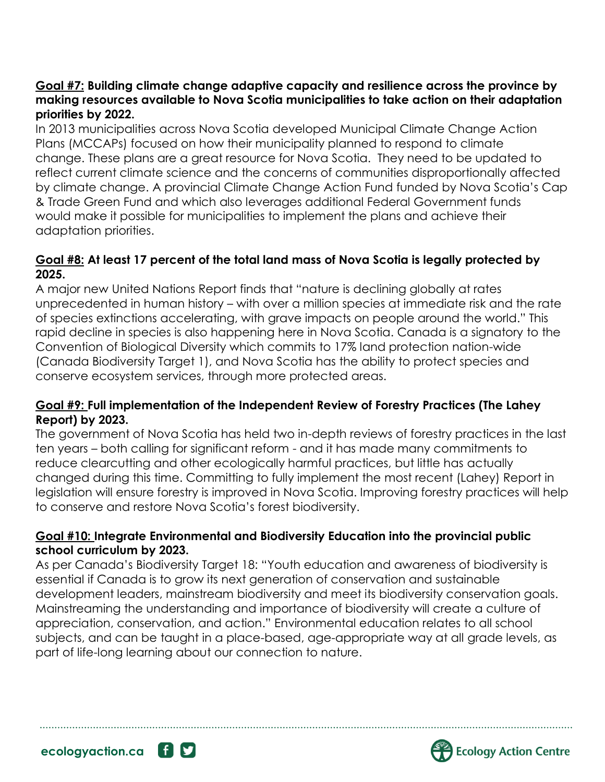#### **Goal #7: Building climate change adaptive capacity and resilience across the province by making resources available to Nova Scotia municipalities to take action on their adaptation priorities by 2022.**

In 2013 municipalities across Nova Scotia developed Municipal Climate Change Action Plans (MCCAPs) focused on how their municipality planned to respond to climate change. These plans are a great resource for Nova Scotia. They need to be updated to reflect current climate science and the concerns of communities disproportionally affected by climate change. A provincial Climate Change Action Fund funded by Nova Scotia's Cap & Trade Green Fund and which also leverages additional Federal Government funds would make it possible for municipalities to implement the plans and achieve their adaptation priorities.

#### **Goal #8: At least 17 percent of the total land mass of Nova Scotia is legally protected by 2025.**

A major new United Nations Report finds that "nature is declining globally at rates unprecedented in human history – with over a million species at immediate risk and the rate of species extinctions accelerating, with grave impacts on people around the world." This rapid decline in species is also happening here in Nova Scotia. Canada is a signatory to the Convention of Biological Diversity which commits to 17% land protection nation-wide (Canada Biodiversity Target 1), and Nova Scotia has the ability to protect species and conserve ecosystem services, through more protected areas.

#### **Goal #9: Full implementation of the Independent Review of Forestry Practices (The Lahey Report) by 2023.**

The government of Nova Scotia has held two in-depth reviews of forestry practices in the last ten years – both calling for significant reform - and it has made many commitments to reduce clearcutting and other ecologically harmful practices, but little has actually changed during this time. Committing to fully implement the most recent (Lahey) Report in legislation will ensure forestry is improved in Nova Scotia. Improving forestry practices will help to conserve and restore Nova Scotia's forest biodiversity.

### **Goal #10: Integrate Environmental and Biodiversity Education into the provincial public school curriculum by 2023.**

As per Canada's Biodiversity Target 18: "Youth education and awareness of biodiversity is essential if Canada is to grow its next generation of conservation and sustainable development leaders, mainstream biodiversity and meet its biodiversity conservation goals. Mainstreaming the understanding and importance of biodiversity will create a culture of appreciation, conservation, and action." Environmental education relates to all school subjects, and can be taught in a place-based, age-appropriate way at all grade levels, as part of life-long learning about our connection to nature.